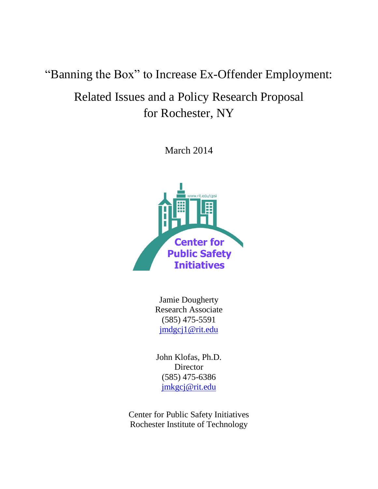# "Banning the Box" to Increase Ex-Offender Employment:

# Related Issues and a Policy Research Proposal for Rochester, NY

March 2014



Jamie Dougherty Research Associate (585) 475-5591 [jmdgcj1@rit.edu](mailto:jmdgcj1@rit.edu)

John Klofas, Ph.D. **Director** (585) 475-6386 [jmkgcj@rit.edu](mailto:jmkgcj@rit.edu)

Center for Public Safety Initiatives Rochester Institute of Technology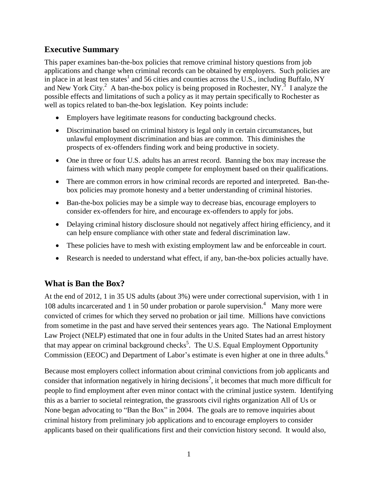# **Executive Summary**

This paper examines ban-the-box policies that remove criminal history questions from job applications and change when criminal records can be obtained by employers. Such policies are in place in at least ten states<sup>1</sup> and 56 cities and counties across the U.S., including Buffalo, NY and New York City.<sup>2</sup> A ban-the-box policy is being proposed in Rochester, NY.<sup>3</sup> I analyze the possible effects and limitations of such a policy as it may pertain specifically to Rochester as well as topics related to ban-the-box legislation. Key points include:

- Employers have legitimate reasons for conducting background checks.
- Discrimination based on criminal history is legal only in certain circumstances, but unlawful employment discrimination and bias are common. This diminishes the prospects of ex-offenders finding work and being productive in society.
- One in three or four U.S. adults has an arrest record. Banning the box may increase the fairness with which many people compete for employment based on their qualifications.
- There are common errors in how criminal records are reported and interpreted. Ban-thebox policies may promote honesty and a better understanding of criminal histories.
- Ban-the-box policies may be a simple way to decrease bias, encourage employers to consider ex-offenders for hire, and encourage ex-offenders to apply for jobs.
- Delaying criminal history disclosure should not negatively affect hiring efficiency, and it can help ensure compliance with other state and federal discrimination law.
- These policies have to mesh with existing employment law and be enforceable in court.
- Research is needed to understand what effect, if any, ban-the-box policies actually have.

# **What is Ban the Box?**

At the end of 2012, 1 in 35 US adults (about 3%) were under correctional supervision, with 1 in 108 adults incarcerated and 1 in 50 under probation or parole supervision.<sup>4</sup> Many more were convicted of crimes for which they served no probation or jail time. Millions have convictions from sometime in the past and have served their sentences years ago. The National Employment Law Project (NELP) estimated that one in four adults in the United States had an arrest history that may appear on criminal background checks<sup>5</sup>. The U.S. Equal Employment Opportunity Commission (EEOC) and Department of Labor's estimate is even higher at one in three adults.<sup>6</sup>

Because most employers collect information about criminal convictions from job applicants and consider that information negatively in hiring decisions<sup>7</sup>, it becomes that much more difficult for people to find employment after even minor contact with the criminal justice system. Identifying this as a barrier to societal reintegration, the grassroots civil rights organization All of Us or None began advocating to "Ban the Box" in 2004. The goals are to remove inquiries about criminal history from preliminary job applications and to encourage employers to consider applicants based on their qualifications first and their conviction history second. It would also,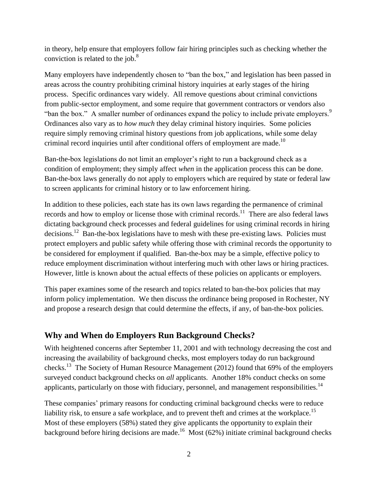in theory, help ensure that employers follow fair hiring principles such as checking whether the conviction is related to the job. $8<sup>8</sup>$ 

Many employers have independently chosen to "ban the box," and legislation has been passed in areas across the country prohibiting criminal history inquiries at early stages of the hiring process. Specific ordinances vary widely. All remove questions about criminal convictions from public-sector employment, and some require that government contractors or vendors also "ban the box." A smaller number of ordinances expand the policy to include private employers. $9$ Ordinances also vary as to *how much* they delay criminal history inquiries. Some policies require simply removing criminal history questions from job applications, while some delay criminal record inquiries until after conditional offers of employment are made.<sup>10</sup>

Ban-the-box legislations do not limit an employer's right to run a background check as a condition of employment; they simply affect *when* in the application process this can be done. Ban-the-box laws generally do not apply to employers which are required by state or federal law to screen applicants for criminal history or to law enforcement hiring.

In addition to these policies, each state has its own laws regarding the permanence of criminal records and how to employ or license those with criminal records.<sup>11</sup> There are also federal laws dictating background check processes and federal guidelines for using criminal records in hiring decisions.<sup>12</sup> Ban-the-box legislations have to mesh with these pre-existing laws. Policies must protect employers and public safety while offering those with criminal records the opportunity to be considered for employment if qualified. Ban-the-box may be a simple, effective policy to reduce employment discrimination without interfering much with other laws or hiring practices. However, little is known about the actual effects of these policies on applicants or employers.

This paper examines some of the research and topics related to ban-the-box policies that may inform policy implementation. We then discuss the ordinance being proposed in Rochester, NY and propose a research design that could determine the effects, if any, of ban-the-box policies.

# **Why and When do Employers Run Background Checks?**

With heightened concerns after September 11, 2001 and with technology decreasing the cost and increasing the availability of background checks, most employers today do run background checks.<sup>13</sup> The Society of Human Resource Management (2012) found that 69% of the employers surveyed conduct background checks on *all* applicants. Another 18% conduct checks on some applicants, particularly on those with fiduciary, personnel, and management responsibilities.<sup>14</sup>

These companies' primary reasons for conducting criminal background checks were to reduce liability risk, to ensure a safe workplace, and to prevent theft and crimes at the workplace.<sup>15</sup> Most of these employers (58%) stated they give applicants the opportunity to explain their background before hiring decisions are made.<sup>16</sup> Most (62%) initiate criminal background checks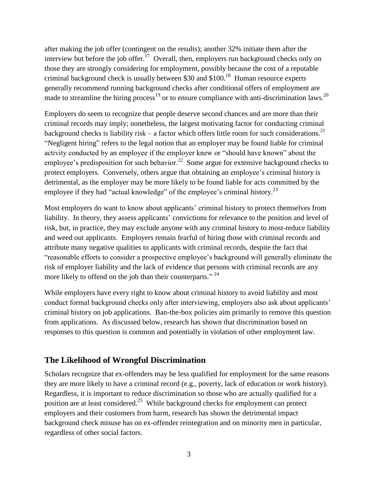after making the job offer (contingent on the results); another 32% initiate them after the interview but before the job offer.<sup>17</sup> Overall, then, employers run background checks only on those they are strongly considering for employment, possibly because the cost of a reputable criminal background check is usually between \$30 and \$100.<sup>18</sup> Human resource experts generally recommend running background checks after conditional offers of employment are made to streamline the hiring process<sup>19</sup> or to ensure compliance with anti-discrimination laws.<sup>20</sup>

Employers do seem to recognize that people deserve second chances and are more than their criminal records may imply; nonetheless, the largest motivating factor for conducting criminal background checks is liability risk – a factor which offers little room for such considerations.<sup>21</sup> "Negligent hiring" refers to the legal notion that an employer may be found liable for criminal activity conducted by an employee if the employer knew or "should have known" about the employee's predisposition for such behavior.<sup>22</sup> Some argue for extensive background checks to protect employers. Conversely, others argue that obtaining an employee's criminal history is detrimental, as the employer may be more likely to be found liable for acts committed by the employee if they had "actual knowledge" of the employee's criminal history.<sup>23</sup>

Most employers do want to know about applicants' criminal history to protect themselves from liability. In theory, they assess applicants' convictions for relevance to the position and level of risk, but, in practice, they may exclude anyone with any criminal history to most-reduce liability and weed out applicants. Employers remain fearful of hiring those with criminal records and attribute many negative qualities to applicants with criminal records, despite the fact that "reasonable efforts to consider a prospective employee's background will generally eliminate the risk of employer liability and the lack of evidence that persons with criminal records are any more likely to offend on the job than their counterparts."<sup>24</sup>

While employers have every right to know about criminal history to avoid liability and most conduct formal background checks only after interviewing, employers also ask about applicants' criminal history on job applications. Ban-the-box policies aim primarily to remove this question from applications. As discussed below, research has shown that discrimination based on responses to this question is common and potentially in violation of other employment law.

# **The Likelihood of Wrongful Discrimination**

Scholars recognize that ex-offenders may be less qualified for employment for the same reasons they are more likely to have a criminal record (e.g., poverty, lack of education or work history). Regardless, it is important to reduce discrimination so those who are actually qualified for a position are at least considered.<sup>25</sup> While background checks for employment can protect employers and their customers from harm, research has shown the detrimental impact background check misuse has on ex-offender reintegration and on minority men in particular, regardless of other social factors.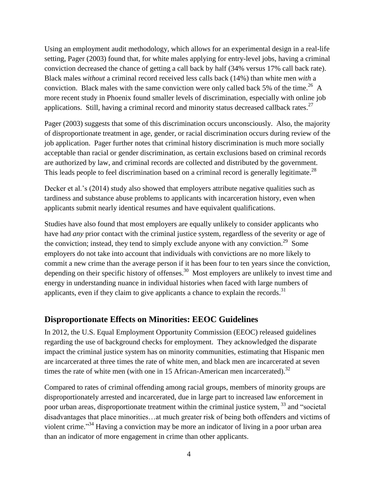Using an employment audit methodology, which allows for an experimental design in a real-life setting, Pager (2003) found that, for white males applying for entry-level jobs, having a criminal conviction decreased the chance of getting a call back by half (34% versus 17% call back rate). Black males *without* a criminal record received less calls back (14%) than white men *with* a conviction. Black males with the same conviction were only called back 5% of the time.<sup>26</sup> A more recent study in Phoenix found smaller levels of discrimination, especially with online job applications. Still, having a criminal record and minority status decreased callback rates.<sup>27</sup>

Pager (2003) suggests that some of this discrimination occurs unconsciously. Also, the majority of disproportionate treatment in age, gender, or racial discrimination occurs during review of the job application. Pager further notes that criminal history discrimination is much more socially acceptable than racial or gender discrimination, as certain exclusions based on criminal records are authorized by law, and criminal records are collected and distributed by the government. This leads people to feel discrimination based on a criminal record is generally legitimate.<sup>28</sup>

Decker et al.'s (2014) study also showed that employers attribute negative qualities such as tardiness and substance abuse problems to applicants with incarceration history, even when applicants submit nearly identical resumes and have equivalent qualifications.

Studies have also found that most employers are equally unlikely to consider applicants who have had *any* prior contact with the criminal justice system, regardless of the severity or age of the conviction; instead, they tend to simply exclude anyone with any conviction.<sup>29</sup> Some employers do not take into account that individuals with convictions are no more likely to commit a new crime than the average person if it has been four to ten years since the conviction, depending on their specific history of offenses.<sup>30</sup> Most employers are unlikely to invest time and energy in understanding nuance in individual histories when faced with large numbers of applicants, even if they claim to give applicants a chance to explain the records. $31$ 

#### **Disproportionate Effects on Minorities: EEOC Guidelines**

In 2012, the U.S. Equal Employment Opportunity Commission (EEOC) released guidelines regarding the use of background checks for employment. They acknowledged the disparate impact the criminal justice system has on minority communities, estimating that Hispanic men are incarcerated at three times the rate of white men, and black men are incarcerated at seven times the rate of white men (with one in 15 African-American men incarcerated).<sup>32</sup>

Compared to rates of criminal offending among racial groups, members of minority groups are disproportionately arrested and incarcerated, due in large part to increased law enforcement in poor urban areas, disproportionate treatment within the criminal justice system, <sup>33</sup> and "societal disadvantages that place minorities…at much greater risk of being both offenders and victims of violent crime."<sup>34</sup> Having a conviction may be more an indicator of living in a poor urban area than an indicator of more engagement in crime than other applicants.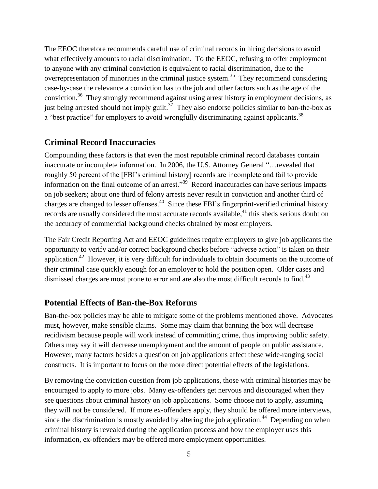The EEOC therefore recommends careful use of criminal records in hiring decisions to avoid what effectively amounts to racial discrimination. To the EEOC, refusing to offer employment to anyone with any criminal conviction is equivalent to racial discrimination, due to the overrepresentation of minorities in the criminal justice system.<sup>35</sup> They recommend considering case-by-case the relevance a conviction has to the job and other factors such as the age of the conviction.<sup>36</sup> They strongly recommend against using arrest history in employment decisions, as just being arrested should not imply guilt.<sup>37</sup> They also endorse policies similar to ban-the-box as a "best practice" for employers to avoid wrongfully discriminating against applicants.<sup>38</sup>

# **Criminal Record Inaccuracies**

Compounding these factors is that even the most reputable criminal record databases contain inaccurate or incomplete information. In 2006, the U.S. Attorney General "…revealed that roughly 50 percent of the [FBI's criminal history] records are incomplete and fail to provide information on the final outcome of an arrest."<sup>39</sup> Record inaccuracies can have serious impacts on job seekers; about one third of felony arrests never result in conviction and another third of charges are changed to lesser offenses.<sup>40</sup> Since these FBI's fingerprint-verified criminal history records are usually considered the most accurate records available,<sup>41</sup> this sheds serious doubt on the accuracy of commercial background checks obtained by most employers.

The Fair Credit Reporting Act and EEOC guidelines require employers to give job applicants the opportunity to verify and/or correct background checks before "adverse action" is taken on their application.<sup>42</sup> However, it is very difficult for individuals to obtain documents on the outcome of their criminal case quickly enough for an employer to hold the position open. Older cases and dismissed charges are most prone to error and are also the most difficult records to find.<sup>43</sup>

#### **Potential Effects of Ban-the-Box Reforms**

Ban-the-box policies may be able to mitigate some of the problems mentioned above. Advocates must, however, make sensible claims. Some may claim that banning the box will decrease recidivism because people will work instead of committing crime, thus improving public safety. Others may say it will decrease unemployment and the amount of people on public assistance. However, many factors besides a question on job applications affect these wide-ranging social constructs. It is important to focus on the more direct potential effects of the legislations.

By removing the conviction question from job applications, those with criminal histories may be encouraged to apply to more jobs. Many ex-offenders get nervous and discouraged when they see questions about criminal history on job applications. Some choose not to apply, assuming they will not be considered. If more ex-offenders apply, they should be offered more interviews, since the discrimination is mostly avoided by altering the job application.<sup>44</sup> Depending on when criminal history is revealed during the application process and how the employer uses this information, ex-offenders may be offered more employment opportunities.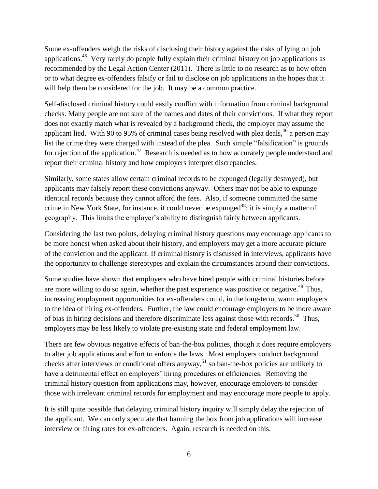Some ex-offenders weigh the risks of disclosing their history against the risks of lying on job applications.<sup>45</sup> Very rarely do people fully explain their criminal history on job applications as recommended by the Legal Action Center (2011). There is little to no research as to how often or to what degree ex-offenders falsify or fail to disclose on job applications in the hopes that it will help them be considered for the job. It may be a common practice.

Self-disclosed criminal history could easily conflict with information from criminal background checks. Many people are not sure of the names and dates of their convictions. If what they report does not exactly match what is revealed by a background check, the employer may assume the applicant lied. With 90 to 95% of criminal cases being resolved with plea deals, <sup>46</sup> a person may list the crime they were charged with instead of the plea. Such simple "falsification" is grounds for rejection of the application.<sup>47</sup> Research is needed as to how accurately people understand and report their criminal history and how employers interpret discrepancies.

Similarly, some states allow certain criminal records to be expunged (legally destroyed), but applicants may falsely report these convictions anyway. Others may not be able to expunge identical records because they cannot afford the fees. Also, if someone committed the same crime in New York State, for instance, it could never be expunged<sup>48</sup>; it is simply a matter of geography. This limits the employer's ability to distinguish fairly between applicants.

Considering the last two points, delaying criminal history questions may encourage applicants to be more honest when asked about their history, and employers may get a more accurate picture of the conviction and the applicant. If criminal history is discussed in interviews, applicants have the opportunity to challenge stereotypes and explain the circumstances around their convictions.

Some studies have shown that employers who have hired people with criminal histories before are more willing to do so again, whether the past experience was positive or negative.<sup> $49$ </sup> Thus, increasing employment opportunities for ex-offenders could, in the long-term, warm employers to the idea of hiring ex-offenders. Further, the law could encourage employers to be more aware of bias in hiring decisions and therefore discriminate less against those with records.<sup>50</sup> Thus, employers may be less likely to violate pre-existing state and federal employment law.

There are few obvious negative effects of ban-the-box policies, though it does require employers to alter job applications and effort to enforce the laws. Most employers conduct background checks after interviews or conditional offers anyway,  $51$  so ban-the-box policies are unlikely to have a detrimental effect on employers' hiring procedures or efficiencies. Removing the criminal history question from applications may, however, encourage employers to consider those with irrelevant criminal records for employment and may encourage more people to apply.

It is still quite possible that delaying criminal history inquiry will simply delay the rejection of the applicant. We can only speculate that banning the box from job applications will increase interview or hiring rates for ex-offenders. Again, research is needed on this.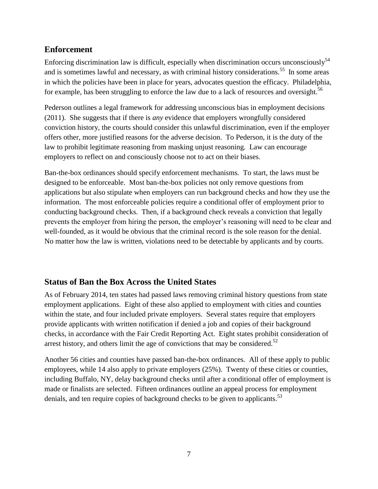### **Enforcement**

Enforcing discrimination law is difficult, especially when discrimination occurs unconsciously<sup>54</sup> and is sometimes lawful and necessary, as with criminal history considerations.<sup>55</sup> In some areas in which the policies have been in place for years, advocates question the efficacy. Philadelphia, for example, has been struggling to enforce the law due to a lack of resources and oversight.<sup>56</sup>

Pederson outlines a legal framework for addressing unconscious bias in employment decisions (2011). She suggests that if there is *any* evidence that employers wrongfully considered conviction history, the courts should consider this unlawful discrimination, even if the employer offers other, more justified reasons for the adverse decision. To Pederson, it is the duty of the law to prohibit legitimate reasoning from masking unjust reasoning. Law can encourage employers to reflect on and consciously choose not to act on their biases.

Ban-the-box ordinances should specify enforcement mechanisms. To start, the laws must be designed to be enforceable. Most ban-the-box policies not only remove questions from applications but also stipulate when employers can run background checks and how they use the information. The most enforceable policies require a conditional offer of employment prior to conducting background checks. Then, if a background check reveals a conviction that legally prevents the employer from hiring the person, the employer's reasoning will need to be clear and well-founded, as it would be obvious that the criminal record is the sole reason for the denial. No matter how the law is written, violations need to be detectable by applicants and by courts.

# **Status of Ban the Box Across the United States**

As of February 2014, ten states had passed laws removing criminal history questions from state employment applications. Eight of these also applied to employment with cities and counties within the state, and four included private employers. Several states require that employers provide applicants with written notification if denied a job and copies of their background checks, in accordance with the Fair Credit Reporting Act. Eight states prohibit consideration of arrest history, and others limit the age of convictions that may be considered.<sup>52</sup>

Another 56 cities and counties have passed ban-the-box ordinances. All of these apply to public employees, while 14 also apply to private employers (25%). Twenty of these cities or counties, including Buffalo, NY, delay background checks until after a conditional offer of employment is made or finalists are selected. Fifteen ordinances outline an appeal process for employment denials, and ten require copies of background checks to be given to applicants.<sup>53</sup>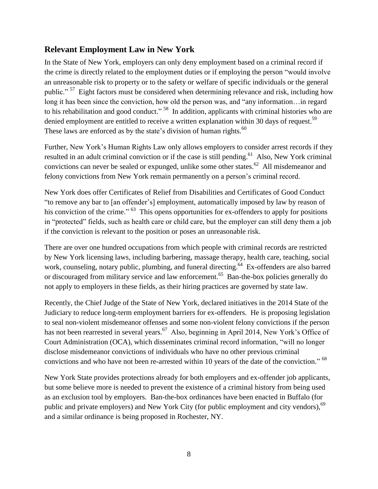# **Relevant Employment Law in New York**

In the State of New York, employers can only deny employment based on a criminal record if the crime is directly related to the employment duties or if employing the person "would involve an unreasonable risk to property or to the safety or welfare of specific individuals or the general public."<sup>57</sup> Eight factors must be considered when determining relevance and risk, including how long it has been since the conviction, how old the person was, and "any information…in regard to his rehabilitation and good conduct."<sup>58</sup> In addition, applicants with criminal histories who are denied employment are entitled to receive a written explanation within 30 days of request.<sup>59</sup> These laws are enforced as by the state's division of human rights. $^{60}$ 

Further, New York's Human Rights Law only allows employers to consider arrest records if they resulted in an adult criminal conviction or if the case is still pending.<sup>61</sup> Also, New York criminal convictions can never be sealed or expunged, unlike some other states.<sup>62</sup> All misdemeanor and felony convictions from New York remain permanently on a person's criminal record.

New York does offer Certificates of Relief from Disabilities and Certificates of Good Conduct "to remove any bar to [an offender's] employment, automatically imposed by law by reason of his conviction of the crime." <sup>63</sup> This opens opportunities for ex-offenders to apply for positions in "protected" fields, such as health care or child care, but the employer can still deny them a job if the conviction is relevant to the position or poses an unreasonable risk.

There are over one hundred occupations from which people with criminal records are restricted by New York licensing laws, including barbering, massage therapy, health care, teaching, social work, counseling, notary public, plumbing, and funeral directing.<sup>64</sup> Ex-offenders are also barred or discouraged from military service and law enforcement.<sup>65</sup> Ban-the-box policies generally do not apply to employers in these fields, as their hiring practices are governed by state law.

Recently, the Chief Judge of the State of New York, declared initiatives in the 2014 State of the Judiciary to reduce long-term employment barriers for ex-offenders. He is proposing legislation to seal non-violent misdemeanor offenses and some non-violent felony convictions if the person has not been rearrested in several years.<sup>67</sup> Also, beginning in April 2014, New York's Office of Court Administration (OCA), which disseminates criminal record information, "will no longer disclose misdemeanor convictions of individuals who have no other previous criminal convictions and who have not been re-arrested within 10 years of the date of the conviction." <sup>68</sup>

New York State provides protections already for both employers and ex-offender job applicants, but some believe more is needed to prevent the existence of a criminal history from being used as an exclusion tool by employers. Ban-the-box ordinances have been enacted in Buffalo (for public and private employers) and New York City (for public employment and city vendors),<sup>69</sup> and a similar ordinance is being proposed in Rochester, NY.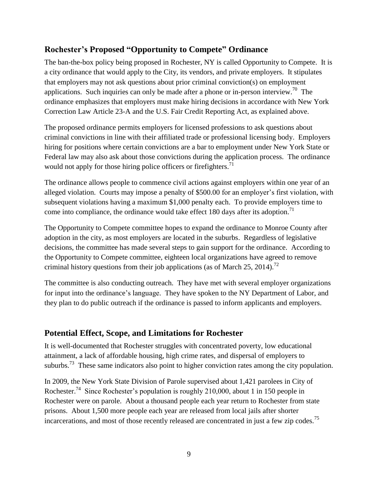# **Rochester's Proposed "Opportunity to Compete" Ordinance**

The ban-the-box policy being proposed in Rochester, NY is called Opportunity to Compete. It is a city ordinance that would apply to the City, its vendors, and private employers. It stipulates that employers may not ask questions about prior criminal conviction(s) on employment applications. Such inquiries can only be made after a phone or in-person interview.<sup>70</sup> The ordinance emphasizes that employers must make hiring decisions in accordance with New York Correction Law Article 23-A and the U.S. Fair Credit Reporting Act, as explained above.

The proposed ordinance permits employers for licensed professions to ask questions about criminal convictions in line with their affiliated trade or professional licensing body. Employers hiring for positions where certain convictions are a bar to employment under New York State or Federal law may also ask about those convictions during the application process. The ordinance would not apply for those hiring police officers or firefighters.<sup>71</sup>

The ordinance allows people to commence civil actions against employers within one year of an alleged violation. Courts may impose a penalty of \$500.00 for an employer's first violation, with subsequent violations having a maximum \$1,000 penalty each. To provide employers time to come into compliance, the ordinance would take effect 180 days after its adoption.<sup>71</sup>

The Opportunity to Compete committee hopes to expand the ordinance to Monroe County after adoption in the city, as most employers are located in the suburbs. Regardless of legislative decisions, the committee has made several steps to gain support for the ordinance. According to the Opportunity to Compete committee, eighteen local organizations have agreed to remove criminal history questions from their job applications (as of March 25, 2014).<sup>72</sup>

The committee is also conducting outreach. They have met with several employer organizations for input into the ordinance's language. They have spoken to the NY Department of Labor, and they plan to do public outreach if the ordinance is passed to inform applicants and employers.

# **Potential Effect, Scope, and Limitations for Rochester**

It is well-documented that Rochester struggles with concentrated poverty, low educational attainment, a lack of affordable housing, high crime rates, and dispersal of employers to suburbs.<sup>73</sup> These same indicators also point to higher conviction rates among the city population.

In 2009, the New York State Division of Parole supervised about 1,421 parolees in City of Rochester.<sup>74</sup> Since Rochester's population is roughly 210,000, about 1 in 150 people in Rochester were on parole. About a thousand people each year return to Rochester from state prisons. About 1,500 more people each year are released from local jails after shorter incarcerations, and most of those recently released are concentrated in just a few zip codes.<sup>75</sup>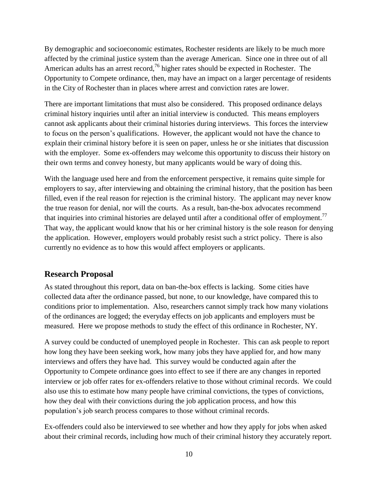By demographic and socioeconomic estimates, Rochester residents are likely to be much more affected by the criminal justice system than the average American. Since one in three out of all American adults has an arrest record,<sup>76</sup> higher rates should be expected in Rochester. The Opportunity to Compete ordinance, then, may have an impact on a larger percentage of residents in the City of Rochester than in places where arrest and conviction rates are lower.

There are important limitations that must also be considered. This proposed ordinance delays criminal history inquiries until after an initial interview is conducted. This means employers cannot ask applicants about their criminal histories during interviews. This forces the interview to focus on the person's qualifications. However, the applicant would not have the chance to explain their criminal history before it is seen on paper, unless he or she initiates that discussion with the employer. Some ex-offenders may welcome this opportunity to discuss their history on their own terms and convey honesty, but many applicants would be wary of doing this.

With the language used here and from the enforcement perspective, it remains quite simple for employers to say, after interviewing and obtaining the criminal history, that the position has been filled, even if the real reason for rejection is the criminal history. The applicant may never know the true reason for denial, nor will the courts. As a result, ban-the-box advocates recommend that inquiries into criminal histories are delayed until after a conditional offer of employment.<sup>77</sup> That way, the applicant would know that his or her criminal history is the sole reason for denying the application. However, employers would probably resist such a strict policy. There is also currently no evidence as to how this would affect employers or applicants.

#### **Research Proposal**

As stated throughout this report, data on ban-the-box effects is lacking. Some cities have collected data after the ordinance passed, but none, to our knowledge, have compared this to conditions prior to implementation. Also, researchers cannot simply track how many violations of the ordinances are logged; the everyday effects on job applicants and employers must be measured. Here we propose methods to study the effect of this ordinance in Rochester, NY.

A survey could be conducted of unemployed people in Rochester. This can ask people to report how long they have been seeking work, how many jobs they have applied for, and how many interviews and offers they have had. This survey would be conducted again after the Opportunity to Compete ordinance goes into effect to see if there are any changes in reported interview or job offer rates for ex-offenders relative to those without criminal records. We could also use this to estimate how many people have criminal convictions, the types of convictions, how they deal with their convictions during the job application process, and how this population's job search process compares to those without criminal records.

Ex-offenders could also be interviewed to see whether and how they apply for jobs when asked about their criminal records, including how much of their criminal history they accurately report.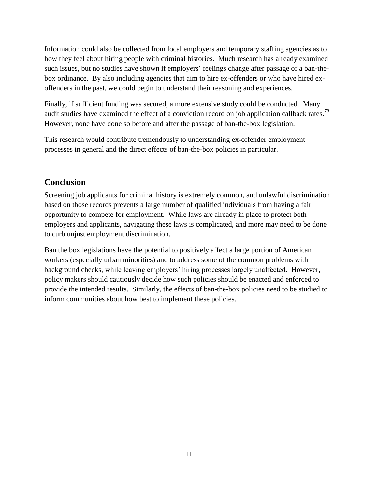Information could also be collected from local employers and temporary staffing agencies as to how they feel about hiring people with criminal histories. Much research has already examined such issues, but no studies have shown if employers' feelings change after passage of a ban-thebox ordinance. By also including agencies that aim to hire ex-offenders or who have hired exoffenders in the past, we could begin to understand their reasoning and experiences.

Finally, if sufficient funding was secured, a more extensive study could be conducted. Many audit studies have examined the effect of a conviction record on job application callback rates.<sup>78</sup> However, none have done so before and after the passage of ban-the-box legislation.

This research would contribute tremendously to understanding ex-offender employment processes in general and the direct effects of ban-the-box policies in particular.

### **Conclusion**

Screening job applicants for criminal history is extremely common, and unlawful discrimination based on those records prevents a large number of qualified individuals from having a fair opportunity to compete for employment. While laws are already in place to protect both employers and applicants, navigating these laws is complicated, and more may need to be done to curb unjust employment discrimination.

Ban the box legislations have the potential to positively affect a large portion of American workers (especially urban minorities) and to address some of the common problems with background checks, while leaving employers' hiring processes largely unaffected. However, policy makers should cautiously decide how such policies should be enacted and enforced to provide the intended results. Similarly, the effects of ban-the-box policies need to be studied to inform communities about how best to implement these policies.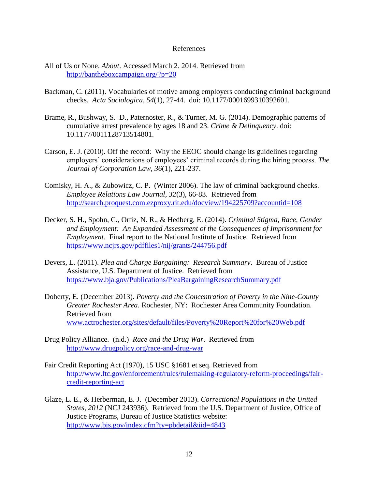#### References

- All of Us or None. *About*. Accessed March 2. 2014. Retrieved from <http://bantheboxcampaign.org/?p=20>
- Backman, C. (2011). Vocabularies of motive among employers conducting criminal background checks. *Acta Sociologica, 54*(1), 27-44. doi: 10.1177/0001699310392601.
- Brame, R., Bushway, S. D., Paternoster, R., & Turner, M. G. (2014). Demographic patterns of cumulative arrest prevalence by ages 18 and 23. *Crime & Delinquency*. doi: 10.1177/0011128713514801.
- Carson, E. J. (2010). Off the record: Why the EEOC should change its guidelines regarding employers' considerations of employees' criminal records during the hiring process. *The Journal of Corporation Law, 36*(1), 221-237.
- Comisky, H. A., & Zubowicz, C. P. (Winter 2006). The law of criminal background checks. *Employee Relations Law Journal, 32*(3), 66-83. Retrieved from <http://search.proquest.com.ezproxy.rit.edu/docview/194225709?accountid=108>
- Decker, S. H., Spohn, C., Ortiz, N. R., & Hedberg, E. (2014). *Criminal Stigma, Race, Gender and Employment: An Expanded Assessment of the Consequences of Imprisonment for Employment.* Final report to the National Institute of Justice. Retrieved from <https://www.ncjrs.gov/pdffiles1/nij/grants/244756.pdf>
- Devers, L. (2011). *Plea and Charge Bargaining: Research Summary*. Bureau of Justice Assistance, U.S. Department of Justice. Retrieved from <https://www.bja.gov/Publications/PleaBargainingResearchSummary.pdf>
- Doherty, E. (December 2013). *Poverty and the Concentration of Poverty in the Nine-County Greater Rochester Area*. Rochester, NY: Rochester Area Community Foundation. Retrieved from [www.actrochester.org/sites/default/files/Poverty%20Report%20for%20Web.pdf](http://www.actrochester.org/sites/default/files/Poverty%20Report%20for%20Web.pdf)
- Drug Policy Alliance. (n.d.) *Race and the Drug War*. Retrieved from <http://www.drugpolicy.org/race-and-drug-war>
- Fair Credit Reporting Act (1970), 15 USC §1681 et seq. Retrieved from [http://www.ftc.gov/enforcement/rules/rulemaking-regulatory-reform-proceedings/fair](http://www.ftc.gov/enforcement/rules/rulemaking-regulatory-reform-proceedings/fair-credit-reporting-act)[credit-reporting-act](http://www.ftc.gov/enforcement/rules/rulemaking-regulatory-reform-proceedings/fair-credit-reporting-act)
- Glaze, L. E., & Herberman, E. J. (December 2013). *Correctional Populations in the United States, 2012* (NCJ 243936). Retrieved from the U.S. Department of Justice, Office of Justice Programs, Bureau of Justice Statistics website: <http://www.bjs.gov/index.cfm?ty=pbdetail&iid=4843>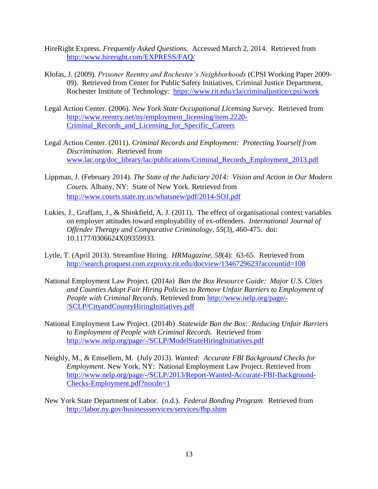- HireRight Express. *Frequently Asked Questions.* Accessed March 2, 2014. Retrieved from <http://www.hireright.com/EXPRESS/FAQ/>
- Klofas, J. (2009). *Prisoner Reentry and Rochester's Neighborhoods* (CPSI Working Paper 2009- 09). Retrieved from Center for Public Safety Initiatives, Criminal Justice Department, Rochester Institute of Technology: <https://www.rit.edu/cla/criminaljustice/cpsi/work>
- Legal Action Center. (2006). *New York State Occupational Licensing Survey.* Retrieved from [http://www.reentry.net/ny/employment\\_licensing/item.2220-](http://www.reentry.net/ny/employment_licensing/item.2220-Criminal_Records_and_Licensing_for_Specific_Careers) [Criminal\\_Records\\_and\\_Licensing\\_for\\_Specific\\_Careers](http://www.reentry.net/ny/employment_licensing/item.2220-Criminal_Records_and_Licensing_for_Specific_Careers)
- Legal Action Center. (2011). *Criminal Records and Employment: Protecting Yourself from Discrimination.* Retrieved from [www.lac.org/doc\\_library/lac/publications/Criminal\\_Records\\_Employment\\_2013.pdf](http://www.lac.org/doc_library/lac/publications/Criminal_Records_Employment_2013.pdf)
- Lippman, J. (February 2014). *The State of the Judiciary 2014: Vision and Action in Our Modern Courts.* Albany, NY: State of New York. Retrieved from <http://www.courts.state.ny.us/whatsnew/pdf/2014-SOJ.pdf>
- Lukies, J., Graffam, J., & Shinkfield, A. J. (2011). The effect of organisational context variables on employer attitudes toward employability of ex-offenders. *International Journal of Offender Therapy and Comparative Criminology, 55*(3), 460-475. doi: 10.1177/0306624X09359933.
- Lytle, T. (April 2013). Streamline Hiring. *HRMagazine, 58*(4): 63-65. Retrieved from <http://search.proquest.com.ezproxy.rit.edu/docview/1346729623?accountid=108>
- National Employment Law Project. (2014a) *Ban the Box Resource Guide: Major U.S. Cities and Counties Adopt Fair Hiring Policies to Remove Unfair Barriers to Employment of People with Criminal Records*. Retrieved from [http://www.nelp.org/page/-](http://www.nelp.org/page/-/SCLP/CityandCountyHiringInitiatives.pdf) [/SCLP/CityandCountyHiringInitiatives.pdf](http://www.nelp.org/page/-/SCLP/CityandCountyHiringInitiatives.pdf)
- National Employment Law Project. (2014b) *Statewide Ban the Box: Reducing Unfair Barriers to Employment of People with Criminal Records.* Retrieved from <http://www.nelp.org/page/-/SCLP/ModelStateHiringInitiatives.pdf>
- Neighly, M., & Emsellem, M. (July 2013). *Wanted: Accurate FBI Background Checks for Employment*. New York, NY: National Employment Law Project. Retrieved from [http://www.nelp.org/page/-/SCLP/2013/Report-Wanted-Accurate-FBI-Background-](http://www.nelp.org/page/-/SCLP/2013/Report-Wanted-Accurate-FBI-Background-Checks-Employment.pdf?nocdn=1)[Checks-Employment.pdf?nocdn=1](http://www.nelp.org/page/-/SCLP/2013/Report-Wanted-Accurate-FBI-Background-Checks-Employment.pdf?nocdn=1)
- New York State Department of Labor. (n.d.). *Federal Bonding Program.* Retrieved from <http://labor.ny.gov/businessservices/services/fbp.shtm>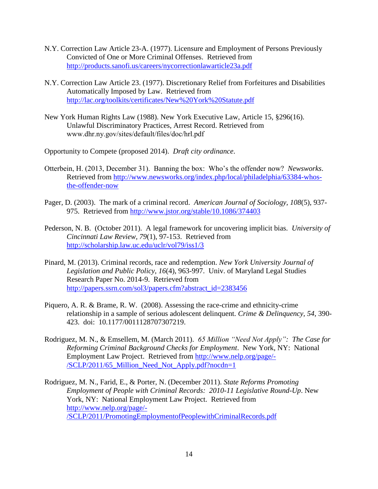- N.Y. Correction Law Article 23-A. (1977). Licensure and Employment of Persons Previously Convicted of One or More Criminal Offenses. Retrieved from <http://products.sanofi.us/careers/nycorrectionlawarticle23a.pdf>
- N.Y. Correction Law Article 23. (1977). Discretionary Relief from Forfeitures and Disabilities Automatically Imposed by Law. Retrieved from <http://lac.org/toolkits/certificates/New%20York%20Statute.pdf>
- New York Human Rights Law (1988). New York Executive Law, Article 15, §296(16). Unlawful Discriminatory Practices, Arrest Record. Retrieved from www.dhr.ny.gov/sites/default/files/doc/hrl.pdf

Opportunity to Compete (proposed 2014). *Draft city ordinance*.

- Otterbein, H. (2013, December 31). Banning the box: Who's the offender now? *Newsworks*. Retrieved from [http://www.newsworks.org/index.php/local/philadelphia/63384-whos](http://www.newsworks.org/index.php/local/philadelphia/63384-whos-the-offender-now)[the-offender-now](http://www.newsworks.org/index.php/local/philadelphia/63384-whos-the-offender-now)
- Pager, D. (2003). The mark of a criminal record. *American Journal of Sociology, 108*(5), 937- 975. Retrieved from<http://www.jstor.org/stable/10.1086/374403>
- Pederson, N. B. (October 2011). A legal framework for uncovering implicit bias. *University of Cincinnati Law Review, 79*(1), 97-153. Retrieved from <http://scholarship.law.uc.edu/uclr/vol79/iss1/3>
- Pinard, M. (2013). Criminal records, race and redemption. *New York University Journal of Legislation and Public Policy, 16*(4), 963-997. Univ. of Maryland Legal Studies Research Paper No. 2014-9. Retrieved from [http://papers.ssrn.com/sol3/papers.cfm?abstract\\_id=2383456](http://papers.ssrn.com/sol3/papers.cfm?abstract_id=2383456)
- Piquero, A. R. & Brame, R. W. (2008). Assessing the race-crime and ethnicity-crime relationship in a sample of serious adolescent delinquent. *Crime & Delinquency, 54*, 390- 423. doi: 10.1177/0011128707307219.
- Rodriguez, M. N., & Emsellem, M. (March 2011). *65 Million "Need Not Apply": The Case for Reforming Criminal Background Checks for Employment*. New York, NY: National Employment Law Project. Retrieved from [http://www.nelp.org/page/-](http://www.nelp.org/page/-/SCLP/2011/65_Million_Need_Not_Apply.pdf?nocdn=1) [/SCLP/2011/65\\_Million\\_Need\\_Not\\_Apply.pdf?nocdn=1](http://www.nelp.org/page/-/SCLP/2011/65_Million_Need_Not_Apply.pdf?nocdn=1)
- Rodriguez, M. N., Farid, E., & Porter, N. (December 2011). *State Reforms Promoting Employment of People with Criminal Records: 2010-11 Legislative Round-Up*. New York, NY: National Employment Law Project. Retrieved from [http://www.nelp.org/page/-](http://www.nelp.org/page/-/SCLP/2011/PromotingEmploymentofPeoplewithCriminalRecords.pdf) [/SCLP/2011/PromotingEmploymentofPeoplewithCriminalRecords.pdf](http://www.nelp.org/page/-/SCLP/2011/PromotingEmploymentofPeoplewithCriminalRecords.pdf)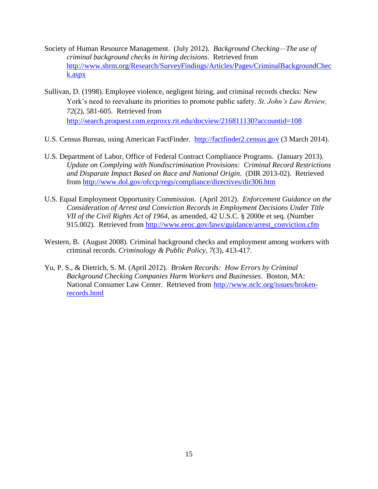- Society of Human Resource Management. (July 2012). *Background Checking—The use of criminal background checks in hiring decisions*. Retrieved from [http://www.shrm.org/Research/SurveyFindings/Articles/Pages/CriminalBackgroundChec](http://www.shrm.org/Research/SurveyFindings/Articles/Pages/CriminalBackgroundCheck.aspx) [k.aspx](http://www.shrm.org/Research/SurveyFindings/Articles/Pages/CriminalBackgroundCheck.aspx)
- Sullivan, D. (1998). Employee violence, negligent hiring, and criminal records checks: New York's need to reevaluate its priorities to promote public safety. *St. John's Law Review, 72*(2), 581-605. Retrieved from <http://search.proquest.com.ezproxy.rit.edu/docview/216811130?accountid=108>
- U.S. Census Bureau, using American FactFinder. [http://factfinder2.census.gov](http://factfinder2.census.gov/) (3 March 2014).
- U.S. Department of Labor, Office of Federal Contract Compliance Programs. (January 2013). *Update on Complying with Nondiscrimination Provisions: Criminal Record Restrictions and Disparate Impact Based on Race and National Origin*. (DIR 2013-02). Retrieved from<http://www.dol.gov/ofccp/regs/compliance/directives/dir306.htm>
- U.S. Equal Employment Opportunity Commission. (April 2012). *Enforcement Guidance on the Consideration of Arrest and Conviction Records in Employment Decisions Under Title VII of the Civil Rights Act of 1964*, as amended*,* 42 U.S.C. § 2000e et seq. (Number 915.002). Retrieved from [http://www.eeoc.gov/laws/guidance/arrest\\_conviction.cfm](http://www.eeoc.gov/laws/guidance/arrest_conviction.cfm)
- Western, B. (August 2008). Criminal background checks and employment among workers with criminal records. *Criminology & Public Policy, 7*(3), 413-417.
- Yu, P. S., & Dietrich, S. M. (April 2012). *Broken Records: How Errors by Criminal Background Checking Companies Harm Workers and Businesses*. Boston, MA: National Consumer Law Center. Retrieved from [http://www.nclc.org/issues/broken](http://www.nclc.org/issues/broken-records.html)[records.html](http://www.nclc.org/issues/broken-records.html)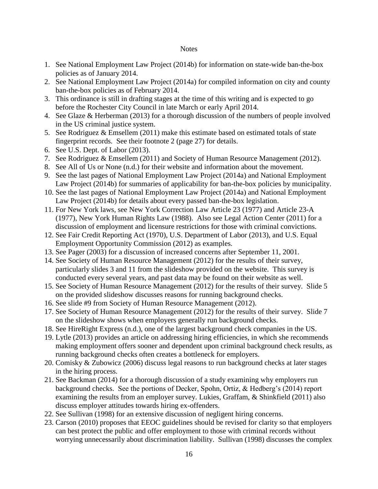#### Notes

- 1. See National Employment Law Project (2014b) for information on state-wide ban-the-box policies as of January 2014.
- 2. See National Employment Law Project (2014a) for compiled information on city and county ban-the-box policies as of February 2014.
- 3. This ordinance is still in drafting stages at the time of this writing and is expected to go before the Rochester City Council in late March or early April 2014.
- 4. See Glaze & Herberman (2013) for a thorough discussion of the numbers of people involved in the US criminal justice system.
- 5. See Rodriguez & Emsellem (2011) make this estimate based on estimated totals of state fingerprint records. See their footnote 2 (page 27) for details.
- 6. See U.S. Dept. of Labor (2013).
- 7. See Rodriguez & Emsellem (2011) and Society of Human Resource Management (2012).
- 8. See All of Us or None (n.d.) for their website and information about the movement.
- 9. See the last pages of National Employment Law Project (2014a) and National Employment Law Project (2014b) for summaries of applicability for ban-the-box policies by municipality.
- 10. See the last pages of National Employment Law Project (2014a) and National Employment Law Project (2014b) for details about every passed ban-the-box legislation.
- 11. For New York laws, see New York Correction Law Article 23 (1977) and Article 23-A (1977), New York Human Rights Law (1988). Also see Legal Action Center (2011) for a discussion of employment and licensure restrictions for those with criminal convictions.
- 12. See Fair Credit Reporting Act (1970), U.S. Department of Labor (2013), and U.S. Equal Employment Opportunity Commission (2012) as examples.
- 13. See Pager (2003) for a discussion of increased concerns after September 11, 2001.
- 14. See Society of Human Resource Management (2012) for the results of their survey, particularly slides 3 and 11 from the slideshow provided on the website. This survey is conducted every several years, and past data may be found on their website as well.
- 15. See Society of Human Resource Management (2012) for the results of their survey. Slide 5 on the provided slideshow discusses reasons for running background checks.
- 16. See slide #9 from Society of Human Resource Management (2012).
- 17. See Society of Human Resource Management (2012) for the results of their survey. Slide 7 on the slideshow shows when employers generally run background checks.
- 18. See HireRight Express (n.d.), one of the largest background check companies in the US.
- 19. Lytle (2013) provides an article on addressing hiring efficiencies, in which she recommends making employment offers sooner and dependent upon criminal background check results, as running background checks often creates a bottleneck for employers.
- 20. Comisky & Zubowicz (2006) discuss legal reasons to run background checks at later stages in the hiring process.
- 21. See Backman (2014) for a thorough discussion of a study examining why employers run background checks. See the portions of Decker, Spohn, Ortiz, & Hedberg's (2014) report examining the results from an employer survey. Lukies, Graffam, & Shinkfield (2011) also discuss employer attitudes towards hiring ex-offenders.
- 22. See Sullivan (1998) for an extensive discussion of negligent hiring concerns.
- 23. Carson (2010) proposes that EEOC guidelines should be revised for clarity so that employers can best protect the public and offer employment to those with criminal records without worrying unnecessarily about discrimination liability. Sullivan (1998) discusses the complex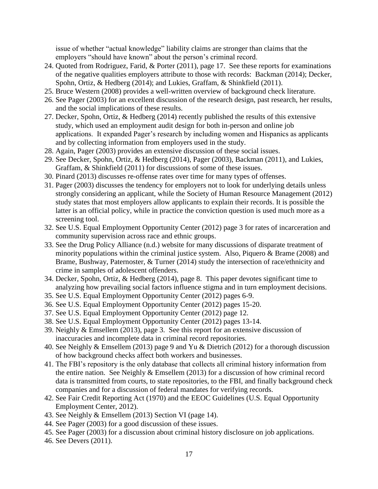issue of whether "actual knowledge" liability claims are stronger than claims that the employers "should have known" about the person's criminal record.

- 24. Quoted from Rodriguez, Farid, & Porter (2011), page 17. See these reports for examinations of the negative qualities employers attribute to those with records: Backman (2014); Decker, Spohn, Ortiz, & Hedberg (2014); and Lukies, Graffam, & Shinkfield (2011).
- 25. Bruce Western (2008) provides a well-written overview of background check literature.
- 26. See Pager (2003) for an excellent discussion of the research design, past research, her results, and the social implications of these results.
- 27. Decker, Spohn, Ortiz, & Hedberg (2014) recently published the results of this extensive study, which used an employment audit design for both in-person and online job applications. It expanded Pager's research by including women and Hispanics as applicants and by collecting information from employers used in the study.
- 28. Again, Pager (2003) provides an extensive discussion of these social issues.
- 29. See Decker, Spohn, Ortiz, & Hedberg (2014), Pager (2003), Backman (2011), and Lukies, Graffam, & Shinkfield (2011) for discussions of some of these issues.
- 30. Pinard (2013) discusses re-offense rates over time for many types of offenses.
- 31. Pager (2003) discusses the tendency for employers not to look for underlying details unless strongly considering an applicant, while the Society of Human Resource Management (2012) study states that most employers allow applicants to explain their records. It is possible the latter is an official policy, while in practice the conviction question is used much more as a screening tool.
- 32. See U.S. Equal Employment Opportunity Center (2012) page 3 for rates of incarceration and community supervision across race and ethnic groups.
- 33. See the Drug Policy Alliance (n.d.) website for many discussions of disparate treatment of minority populations within the criminal justice system. Also, Piquero & Brame (2008) and Brame, Bushway, Paternoster, & Turner (2014) study the intersection of race/ethnicity and crime in samples of adolescent offenders.
- 34. Decker, Spohn, Ortiz, & Hedberg (2014), page 8. This paper devotes significant time to analyzing how prevailing social factors influence stigma and in turn employment decisions.
- 35. See U.S. Equal Employment Opportunity Center (2012) pages 6-9.
- 36. See U.S. Equal Employment Opportunity Center (2012) pages 15-20.
- 37. See U.S. Equal Employment Opportunity Center (2012) page 12.
- 38. See U.S. Equal Employment Opportunity Center (2012) pages 13-14.
- 39. Neighly & Emsellem (2013), page 3. See this report for an extensive discussion of inaccuracies and incomplete data in criminal record repositories.
- 40. See Neighly & Emsellem (2013) page 9 and Yu & Dietrich (2012) for a thorough discussion of how background checks affect both workers and businesses.
- 41. The FBI's repository is the only database that collects all criminal history information from the entire nation. See Neighly & Emsellem (2013) for a discussion of how criminal record data is transmitted from courts, to state repositories, to the FBI, and finally background check companies and for a discussion of federal mandates for verifying records.
- 42. See Fair Credit Reporting Act (1970) and the EEOC Guidelines (U.S. Equal Opportunity Employment Center, 2012).
- 43. See Neighly & Emsellem (2013) Section VI (page 14).
- 44. See Pager (2003) for a good discussion of these issues.
- 45. See Pager (2003) for a discussion about criminal history disclosure on job applications.
- 46. See Devers (2011).